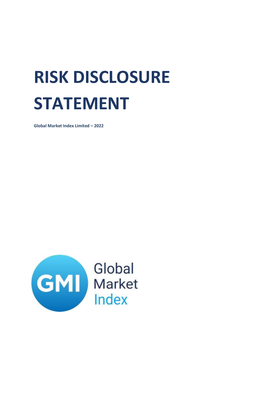## **RISK DISCLOSURE STATEMENT**

**Global Market Index Limited – 2022**

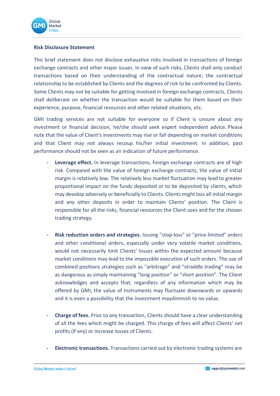

## **Risk Disclosure Statement**

This brief statement does not disclose exhaustive risks involved in transactions of foreign exchange contracts and other major issues. In view of such risks, Clients shall only conduct transactions based on their understanding of the contractual nature, the contractual relationship to be established by Clients and the degrees of risk to be confronted by Clients. Some Clients may not be suitable for getting involved in foreign exchange contracts. Clients shall deliberate on whether the transaction would be suitable for them based on their experience, purpose, financial resources and other related situations, etc.

GMI trading services are not suitable for everyone so if Client is unsure about any investment or financial decision, he/she should seek expert independent advice. Please note that the value of Client's investments may rise or fall depending on market conditions and that Client may not always recoup his/her initial investment. In addition, past performance should not be seen as an indication of future performance.

- **- Leverage effect.** In leverage transactions, foreign exchange contracts are of high risk. Compared with the value of foreign exchange contracts, the value of initial margin is relatively low. The relatively less market fluctuation may lead to greater proportional impact on the funds deposited or to be deposited by clients, which may develop adversely or beneficially to Clients. Clients might loss all initial margin and any other deposits in order to maintain Clients' position. The Client is responsible for all the risks, financial resources the Client uses and for the chosen trading strategy.
- **- Risk reduction orders and strategies.** Issuing "stop-loss" or "price-limited" orders and other conditional orders, especially under very volatile market conditions, would not necessarily limit Clients' losses within the expected amount because market conditions may lead to the impossible execution of such orders. The use of combined positions strategies such as "arbitrage" and "straddle trading" may be as dangerous as simply maintaining "long position" or "short position". The Client acknowledges and accepts that, regardless of any information which may be offered by GMI, the value of Instruments may fluctuate downwards or upwards and it is even a possibility that the investment maydiminish to no value.
- **- Charge of fees.** Prior to any transaction, Clients should have a clear understanding of all the fees which might be charged. This charge of fees will affect Clients' net profits (if any) or increase losses of Clients.
- **- Electronic transactions.** Transactions carried out by electronic trading systems are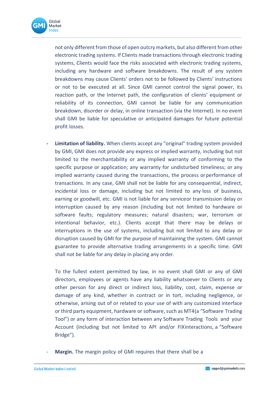

not only different from those of open outcry markets, but also different from other electronic trading systems. If Clients made transactions through electronic trading systems, Clients would face the risks associated with electronic trading systems, including any hardware and software breakdowns. The result of any system breakdowns may cause Clients' orders not to be followed by Clients' instructions or not to be executed at all. Since GMI cannot control the signal power, its reaction path, or the Internet path, the configuration of clients' equipment or reliability of its connection, GMI cannot be liable for any communication breakdown, disorder or delay, in online transaction (via the Internet). In no event shall GMI be liable for speculative or anticipated damages for future potential profit losses.

**- Limitation of liability.** When clients accept any "original" trading system provided by GMI, GMI does not provide any express or implied warranty, including but not limited to the merchantability or any implied warranty of conforming to the specific purpose or application; any warranty for undisturbed timeliness; or any implied warranty caused during the transactions, the process orperformance of transactions. In any case, GMI shall not be liable for any consequential, indirect, incidental loss or damage, including but not limited to any loss of business, earning or goodwill, etc. GMI is not liable for any serviceor transmission delay or interruption caused by any reason (including but not limited to hardware or software faults; regulatory measures; natural disasters; war, terrorism or intentional behavior, etc.). Clients accept that there may be delays or interruptions in the use of systems, including but not limited to any delay or disruption caused by GMI for the purpose of maintaining the system. GMI cannot guarantee to provide alternative trading arrangements in a specific time. GMI shall not be liable for any delay in placing any order.

To the fullest extent permitted by law, in no event shall GMI or any of GMI directors, employees or agents have any liability whatsoever to Clients or any other person for any direct or indirect loss, liability, cost, claim, expense or damage of any kind, whether in contract or in tort, including negligence, or otherwise, arising out of or related to your use of with any customized interface or third party equipment, hardware orsoftware, such as MT4(a "Software Trading Tool") or any form of interaction between any Software Trading Tools and your Account (including but not limited to API and/or FIXinteractions, a "Software Bridge").

Margin. The margin policy of GMI requires that there shall be a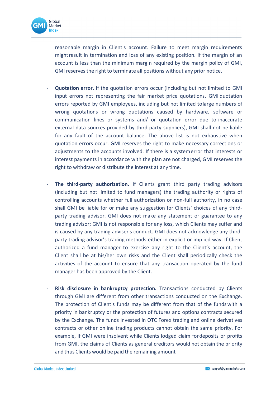

reasonable margin in Client's account. Failure to meet margin requirements mightresult in termination and loss of any existing position. If the margin of an account is less than the minimum margin required by the margin policy of GMI, GMI reserves the right to terminate all positions without any prior notice.

- **Quotation error.** If the quotation errors occur (including but not limited to GMI input errors not representing the fair market price quotations, GMI quotation errors reported by GMI employees, including but not limited tolarge numbers of wrong quotations or wrong quotations caused by hardware, software or communication lines or systems and/ or quotation error due to inaccurate external data sources provided by third party suppliers), GMI shall not be liable for any fault of the account balance. The above list is not exhaustive when quotation errors occur. GMI reserves the right to make necessary corrections or adjustments to the accounts involved. If there is a systemerror that interests or interest payments in accordance with the plan are not charged, GMI reserves the right to withdraw or distribute the interest at any time.
- **The third-party authorization.** If Clients grant third party trading advisors (including but not limited to fund managers) the trading authority or rights of controlling accounts whether full authorization or non-full authority, in no case shall GMI be liable for or make any suggestion for Clients' choices of any thirdparty trading advisor. GMI does not make any statement or guarantee to any trading advisor; GMI is not responsible for any loss, which Clients may suffer and is caused by any trading adviser's conduct. GMI does not acknowledge any thirdparty trading advisor's trading methods either in explicit or implied way. If Client authorized a fund manager to exercise any right to the Client's account, the Client shall be at his/her own risks and the Client shall periodically check the activities of the account to ensure that any transaction operated by the fund manager has been approved by the Client.
- **Risk disclosure in bankruptcy protection.** Transactions conducted by Clients through GMI are different from other transactions conducted on the Exchange. The protection of Client's funds may be different from that of the funds with a priority in bankruptcy or the protection of futures and options contracts secured by the Exchange. The funds invested in OTC Forex trading and online derivatives contracts or other online trading products cannot obtain the same priority. For example, if GMI were insolvent while Clients lodged claim fordeposits or profits from GMI, the claims of Clients as general creditors would not obtain the priority and thus Clients would be paid the remaining amount